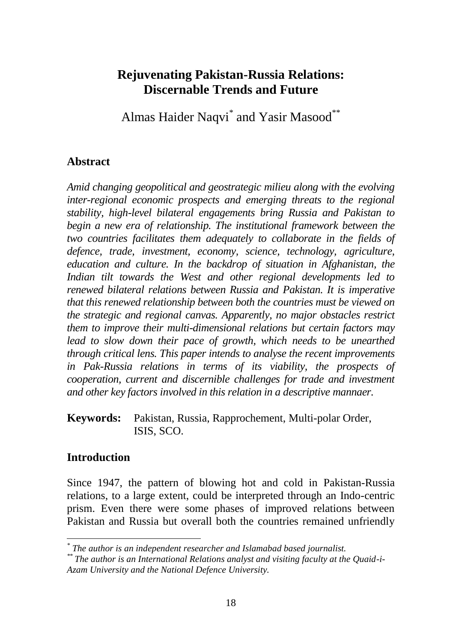# **Rejuvenating Pakistan-Russia Relations: Discernable Trends and Future**

Almas Haider Naqvi<sup>\*</sup> and Yasir Masood<sup>\*\*</sup>

### **Abstract**

*Amid changing geopolitical and geostrategic milieu along with the evolving inter-regional economic prospects and emerging threats to the regional stability, high-level bilateral engagements bring Russia and Pakistan to begin a new era of relationship. The institutional framework between the two countries facilitates them adequately to collaborate in the fields of defence, trade, investment, economy, science, technology, agriculture, education and culture. In the backdrop of situation in Afghanistan, the Indian tilt towards the West and other regional developments led to renewed bilateral relations between Russia and Pakistan. It is imperative that this renewed relationship between both the countries must be viewed on the strategic and regional canvas. Apparently, no major obstacles restrict them to improve their multi-dimensional relations but certain factors may*  lead to slow down their pace of growth, which needs to be unearthed *through critical lens. This paper intends to analyse the recent improvements in Pak-Russia relations in terms of its viability, the prospects of cooperation, current and discernible challenges for trade and investment and other key factors involved in this relation in a descriptive mannaer.* 

**Keywords:** Pakistan, Russia, Rapprochement, Multi-polar Order, ISIS, SCO.

### **Introduction**

Since 1947, the pattern of blowing hot and cold in Pakistan-Russia relations, to a large extent, could be interpreted through an Indo-centric prism. Even there were some phases of improved relations between Pakistan and Russia but overall both the countries remained unfriendly

*<sup>\*</sup> The author is an independent researcher and Islamabad based journalist.*

*<sup>\*\*</sup> The author is an International Relations analyst and visiting faculty at the Quaid-i-Azam University and the National Defence University.*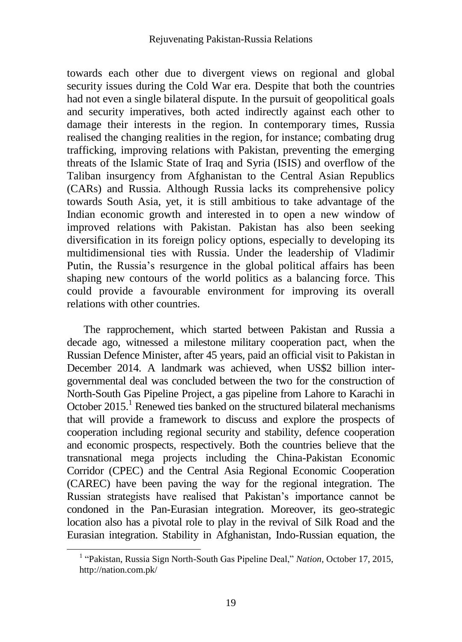towards each other due to divergent views on regional and global security issues during the Cold War era. Despite that both the countries had not even a single bilateral dispute. In the pursuit of geopolitical goals and security imperatives, both acted indirectly against each other to damage their interests in the region. In contemporary times, Russia realised the changing realities in the region, for instance; combating drug trafficking, improving relations with Pakistan, preventing the emerging threats of the Islamic State of Iraq and Syria (ISIS) and overflow of the Taliban insurgency from Afghanistan to the Central Asian Republics (CARs) and Russia. Although Russia lacks its comprehensive policy towards South Asia, yet, it is still ambitious to take advantage of the Indian economic growth and interested in to open a new window of improved relations with Pakistan. Pakistan has also been seeking diversification in its foreign policy options, especially to developing its multidimensional ties with Russia. Under the leadership of Vladimir Putin, the Russia's resurgence in the global political affairs has been shaping new contours of the world politics as a balancing force. This could provide a favourable environment for improving its overall relations with other countries.

The rapprochement, which started between Pakistan and Russia a decade ago, witnessed a milestone military cooperation pact, when the Russian Defence Minister, after 45 years, paid an official visit to Pakistan in December 2014. A landmark was achieved, when US\$2 billion intergovernmental deal was concluded between the two for the construction of North-South Gas Pipeline Project, a gas pipeline from Lahore to Karachi in October  $2015<sup>1</sup>$  Renewed ties banked on the structured bilateral mechanisms that will provide a framework to discuss and explore the prospects of cooperation including regional security and stability, defence cooperation and economic prospects, respectively. Both the countries believe that the transnational mega projects including the China-Pakistan Economic Corridor (CPEC) and the Central Asia Regional Economic Cooperation (CAREC) have been paving the way for the regional integration. The Russian strategists have realised that Pakistan's importance cannot be condoned in the Pan-Eurasian integration. Moreover, its geo-strategic location also has a pivotal role to play in the revival of Silk Road and the Eurasian integration. Stability in Afghanistan, Indo-Russian equation, the

 $\overline{a}$ 

<sup>&</sup>lt;sup>1</sup> "Pakistan, Russia Sign North-South Gas Pipeline Deal," *Nation*, October 17, 2015, http://nation.com.pk/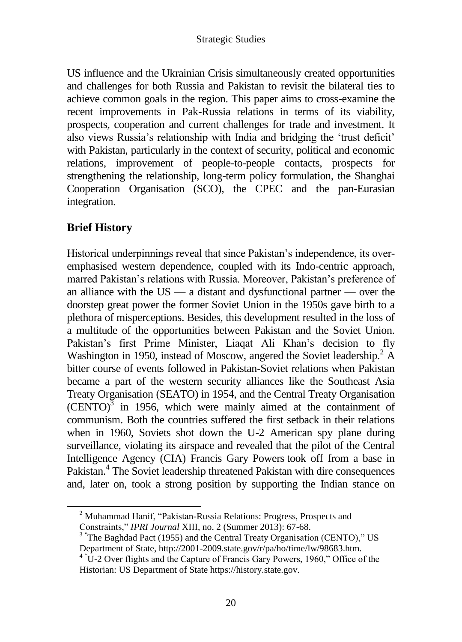US influence and the Ukrainian Crisis simultaneously created opportunities and challenges for both Russia and Pakistan to revisit the bilateral ties to achieve common goals in the region. This paper aims to cross-examine the recent improvements in Pak-Russia relations in terms of its viability, prospects, cooperation and current challenges for trade and investment. It also views Russia's relationship with India and bridging the 'trust deficit' with Pakistan, particularly in the context of security, political and economic relations, improvement of people-to-people contacts, prospects for strengthening the relationship, long-term policy formulation, the Shanghai Cooperation Organisation (SCO), the CPEC and the pan-Eurasian integration.

# **Brief History**

Historical underpinnings reveal that since Pakistan's independence, its overemphasised western dependence, coupled with its Indo-centric approach, marred Pakistan's relations with Russia. Moreover, Pakistan's preference of an alliance with the  $US - a$  distant and dysfunctional partner  $\sim$  over the doorstep great power the former Soviet Union in the 1950s gave birth to a plethora of misperceptions. Besides, this development resulted in the loss of a multitude of the opportunities between Pakistan and the Soviet Union. Pakistan's first Prime Minister, Liaqat Ali Khan's decision to fly Washington in 1950, instead of Moscow, angered the Soviet leadership.<sup>2</sup> A bitter course of events followed in Pakistan-Soviet relations when Pakistan became a part of the western security alliances like the Southeast Asia Treaty Organisation (SEATO) in 1954, and the Central Treaty Organisation  $(CENTO)^3$  in 1956, which were mainly aimed at the containment of communism. Both the countries suffered the first setback in their relations when in 1960, Soviets shot down the U-2 American spy plane during surveillance, violating its airspace and revealed that the pilot of the Central Intelligence Agency (CIA) Francis Gary Powers took off from a base in Pakistan.<sup>4</sup> The Soviet leadership threatened Pakistan with dire consequences and, later on, took a strong position by supporting the Indian stance on

<sup>&</sup>lt;sup>2</sup> Muhammad Hanif, "Pakistan-Russia Relations: Progress, Prospects and Constraints," *IPRI Journal* XIII, no. 2 (Summer 2013): 67-68.

 $3$  The Baghdad Pact (1955) and the Central Treaty Organisation (CENTO)," US Department of State, http://2001-2009.state.gov/r/pa/ho/time/lw/98683.htm.

<sup>&</sup>lt;sup>4 "</sup>U-2 Over flights and the Capture of Francis Gary Powers, 1960," Office of the Historian: US Department of State https://history.state.gov.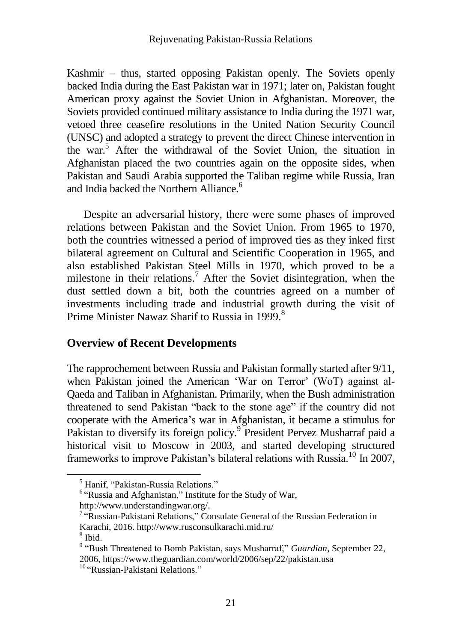Kashmir – thus, started opposing Pakistan openly. The Soviets openly backed India during the East Pakistan war in 1971; later on, Pakistan fought American proxy against the Soviet Union in Afghanistan. Moreover, the Soviets provided continued military assistance to India during the 1971 war, vetoed three ceasefire resolutions in the United Nation Security Council (UNSC) and adopted a strategy to prevent the direct Chinese intervention in the war.<sup>5</sup> After the withdrawal of the Soviet Union, the situation in Afghanistan placed the two countries again on the opposite sides, when Pakistan and Saudi Arabia supported the Taliban regime while Russia, Iran and India backed the Northern Alliance.<sup>6</sup>

Despite an adversarial history, there were some phases of improved relations between Pakistan and the Soviet Union. From 1965 to 1970, both the countries witnessed a period of improved ties as they inked first bilateral agreement on Cultural and Scientific Cooperation in 1965, and also established Pakistan Steel Mills in 1970, which proved to be a milestone in their relations.<sup>7</sup> After the Soviet disintegration, when the dust settled down a bit, both the countries agreed on a number of investments including trade and industrial growth during the visit of Prime Minister Nawaz Sharif to Russia in 1999.<sup>8</sup>

### **Overview of Recent Developments**

The rapprochement between Russia and Pakistan formally started after 9/11, when Pakistan joined the American 'War on Terror' (WoT) against al-Qaeda and Taliban in Afghanistan. Primarily, when the Bush administration threatened to send Pakistan "back to the stone age" if the country did not cooperate with the America's war in Afghanistan, it became a stimulus for Pakistan to diversify its foreign policy.<sup>9</sup> President Pervez Musharraf paid a historical visit to Moscow in 2003, and started developing structured frameworks to improve Pakistan's bilateral relations with Russia.<sup>10</sup> In 2007,

http://www.understandingwar.org/.

<sup>5</sup> Hanif, "Pakistan-Russia Relations."

<sup>&</sup>lt;sup>6</sup> "Russia and Afghanistan," Institute for the Study of War,

<sup>&</sup>lt;sup>7</sup> "Russian-Pakistani Relations," Consulate General of the Russian Federation in Karachi, 2016. http://www.rusconsulkarachi.mid.ru/

<sup>8</sup> Ibid.

<sup>&</sup>lt;sup>9</sup> "Bush Threatened to Bomb Pakistan, says Musharraf," *Guardian*, September 22, 2006, https://www.theguardian.com/world/2006/sep/22/pakistan.usa

<sup>&</sup>lt;sup>10</sup> "Russian-Pakistani Relations."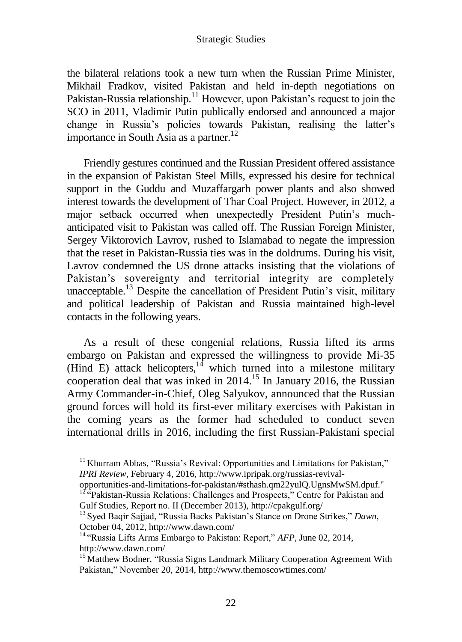the bilateral relations took a new turn when the Russian Prime Minister, Mikhail Fradkov, visited Pakistan and held in-depth negotiations on Pakistan-Russia relationship.<sup>11</sup> However, upon Pakistan's request to join the SCO in 2011, Vladimir Putin publically endorsed and announced a major change in Russia's policies towards Pakistan, realising the latter's importance in South Asia as a partner.<sup>12</sup>

Friendly gestures continued and the Russian President offered assistance in the expansion of Pakistan Steel Mills, expressed his desire for technical support in the Guddu and Muzaffargarh power plants and also showed interest towards the development of Thar Coal Project. However, in 2012, a major setback occurred when unexpectedly President Putin's muchanticipated visit to Pakistan was called off. The Russian Foreign Minister, Sergey Viktorovich Lavrov, rushed to Islamabad to negate the impression that the reset in Pakistan-Russia ties was in the doldrums. During his visit, Lavrov condemned the US drone attacks insisting that the violations of Pakistan's sovereignty and territorial integrity are completely unacceptable.<sup>13</sup> Despite the cancellation of President Putin's visit, military and political leadership of Pakistan and Russia maintained high-level contacts in the following years.

As a result of these congenial relations, Russia lifted its arms embargo on Pakistan and expressed the willingness to provide Mi-35 (Hind E) attack helicopters, $14$  which turned into a milestone military cooperation deal that was inked in 2014. <sup>15</sup> In January 2016, the Russian Army Commander-in-Chief, Oleg Salyukov, announced that the Russian ground forces will hold its first-ever military exercises with Pakistan in the coming years as the former had scheduled to conduct seven international drills in 2016, including the first Russian-Pakistani special

 $\overline{a}$ 

<sup>&</sup>lt;sup>11</sup> Khurram Abbas, "Russia's Revival: Opportunities and Limitations for Pakistan," *IPRI Review*, February 4, 2016, http://www.ipripak.org/russias-revival-

opportunities-and-limitations-for-pakistan/#sthash.qm22yulQ.UgnsMwSM.dpuf." <sup>12 "</sup>Pakistan-Russia Relations: Challenges and Prospects," Centre for Pakistan and

Gulf Studies, Report no. II (December 2013), http://cpakgulf.org/

<sup>13</sup> Syed Baqir Sajjad, "Russia Backs Pakistan's Stance on Drone Strikes," *Dawn*, October 04, 2012, http://www.dawn.com/

<sup>&</sup>lt;sup>14</sup> "Russia Lifts Arms Embargo to Pakistan: Report," AFP, June 02, 2014, http://www.dawn.com/

<sup>&</sup>lt;sup>15</sup> Matthew Bodner, "Russia Signs Landmark Military Cooperation Agreement With Pakistan," November 20, 2014, http://www.themoscowtimes.com/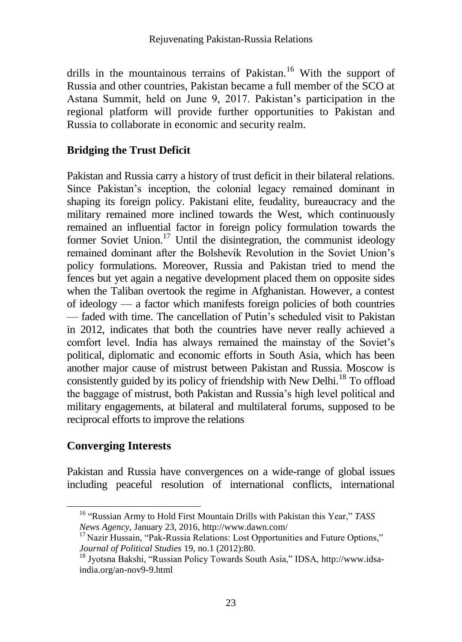drills in the mountainous terrains of Pakistan.<sup>16</sup> With the support of Russia and other countries, Pakistan became a full member of the SCO at Astana Summit, held on June 9, 2017. Pakistan's participation in the regional platform will provide further opportunities to Pakistan and Russia to collaborate in economic and security realm.

### **Bridging the Trust Deficit**

Pakistan and Russia carry a history of trust deficit in their bilateral relations. Since Pakistan's inception, the colonial legacy remained dominant in shaping its foreign policy. Pakistani elite, feudality, bureaucracy and the military remained more inclined towards the West, which continuously remained an influential factor in foreign policy formulation towards the former Soviet Union. $^{17}$  Until the disintegration, the communist ideology remained dominant after the Bolshevik Revolution in the Soviet Union's policy formulations. Moreover, Russia and Pakistan tried to mend the fences but yet again a negative development placed them on opposite sides when the Taliban overtook the regime in Afghanistan. However, a contest of ideology — a factor which manifests foreign policies of both countries — faded with time. The cancellation of Putin's scheduled visit to Pakistan in 2012, indicates that both the countries have never really achieved a comfort level. India has always remained the mainstay of the Soviet's political, diplomatic and economic efforts in South Asia, which has been another major cause of mistrust between Pakistan and Russia. Moscow is consistently guided by its policy of friendship with New Delhi.<sup>18</sup> To offload the baggage of mistrust, both Pakistan and Russia's high level political and military engagements, at bilateral and multilateral forums, supposed to be reciprocal efforts to improve the relations

# **Converging Interests**

Pakistan and Russia have convergences on a wide-range of global issues including peaceful resolution of international conflicts, international

<sup>16</sup> "Russian Army to Hold First Mountain Drills with Pakistan this Year," *TASS News Agency*, January 23, 2016, http://www.dawn.com/

 $17$  Nazir Hussain, "Pak-Russia Relations: Lost Opportunities and Future Options," *Journal of Political Studies* 19, no.1 (2012):80.

<sup>18</sup> Jyotsna Bakshi, "Russian Policy Towards South Asia," IDSA, [http://www.idsa](http://www.idsa-india.org/an-nov9-9.html)[india.org/an-nov9-9.html](http://www.idsa-india.org/an-nov9-9.html)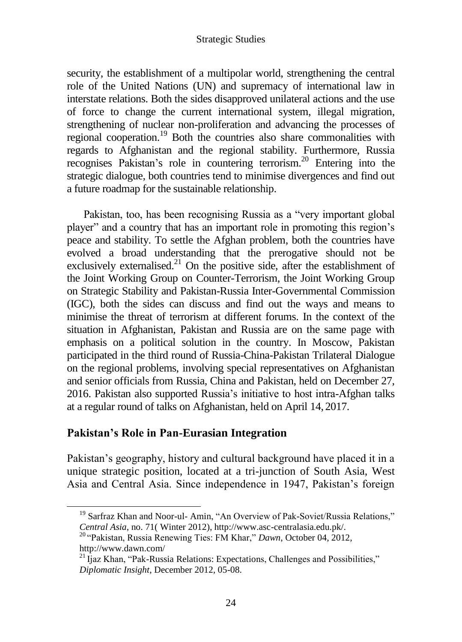security, the establishment of a multipolar world, strengthening the central role of the United Nations (UN) and supremacy of international law in interstate relations. Both the sides disapproved unilateral actions and the use of force to change the current international system, illegal migration, strengthening of nuclear non-proliferation and advancing the processes of regional cooperation.<sup>19</sup> Both the countries also share commonalities with regards to Afghanistan and the regional stability. Furthermore, Russia recognises Pakistan's role in countering terrorism.<sup>20</sup> Entering into the strategic dialogue, both countries tend to minimise divergences and find out a future roadmap for the sustainable relationship.

Pakistan, too, has been recognising Russia as a "very important global player" and a country that has an important role in promoting this region's peace and stability. To settle the Afghan problem, both the countries have evolved a broad understanding that the prerogative should not be exclusively externalised.<sup>21</sup> On the positive side, after the establishment of the Joint Working Group on Counter-Terrorism, the Joint Working Group on Strategic Stability and Pakistan-Russia Inter-Governmental Commission (IGC), both the sides can discuss and find out the ways and means to minimise the threat of terrorism at different forums. In the context of the situation in Afghanistan, Pakistan and Russia are on the same page with emphasis on a political solution in the country. In Moscow, Pakistan participated in the third round of Russia-China-Pakistan Trilateral Dialogue on the regional problems, involving special representatives on Afghanistan and senior officials from Russia, China and Pakistan, held on December 27, 2016. Pakistan also supported Russia's initiative to host intra-Afghan talks at a regular round of talks on Afghanistan, held on April 14, 2017.

### **Pakistan's Role in Pan-Eurasian Integration**

Pakistan's geography, history and cultural background have placed it in a unique strategic position, located at a tri-junction of South Asia, West Asia and Central Asia. Since independence in 1947, Pakistan's foreign

<sup>&</sup>lt;sup>19</sup> Sarfraz Khan and Noor-ul- Amin, "An Overview of Pak-Soviet/Russia Relations," *Central Asia*, no. 71( Winter 2012), http://www.asc-centralasia.edu.pk/.

<sup>20</sup> "Pakistan, Russia Renewing Ties: FM Khar," *Dawn*, October 04, 2012, http://www.dawn.com/

 $^{21}$  Ijaz Khan, "Pak-Russia Relations: Expectations, Challenges and Possibilities," *Diplomatic Insight*, December 2012, 05-08.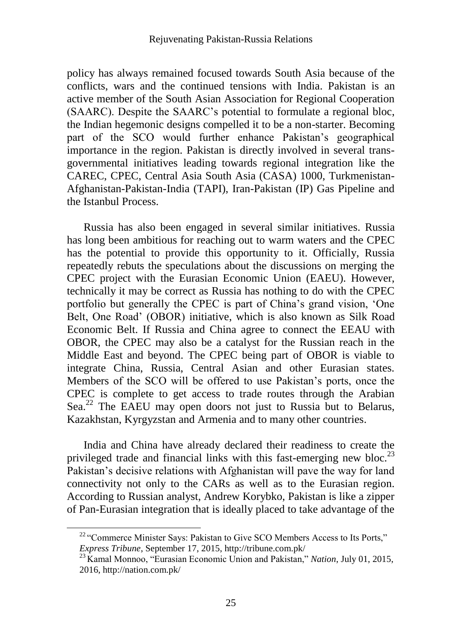policy has always remained focused towards South Asia because of the conflicts, wars and the continued tensions with India. Pakistan is an active member of the South Asian Association for Regional Cooperation (SAARC). Despite the SAARC's potential to formulate a regional bloc, the Indian hegemonic designs compelled it to be a non-starter. Becoming part of the SCO would further enhance Pakistan's geographical importance in the region. Pakistan is directly involved in several transgovernmental initiatives leading towards regional integration like the CAREC, CPEC, Central Asia South Asia (CASA) 1000, Turkmenistan-Afghanistan-Pakistan-India (TAPI), Iran-Pakistan (IP) Gas Pipeline and the Istanbul Process.

Russia has also been engaged in several similar initiatives. Russia has long been ambitious for reaching out to warm waters and the CPEC has the potential to provide this opportunity to it. Officially, Russia repeatedly rebuts the speculations about the discussions on merging the CPEC project with the Eurasian Economic Union (EAEU). However, technically it may be correct as Russia has nothing to do with the CPEC portfolio but generally the CPEC is part of China's grand vision, 'One Belt, One Road' (OBOR) initiative, which is also known as Silk Road Economic Belt. If Russia and China agree to connect the EEAU with OBOR, the CPEC may also be a catalyst for the Russian reach in the Middle East and beyond. The CPEC being part of OBOR is viable to integrate China, Russia, Central Asian and other Eurasian states. Members of the SCO will be offered to use Pakistan's ports, once the CPEC is complete to get access to trade routes through the Arabian Sea.<sup>22</sup> The EAEU may open doors not just to Russia but to Belarus, Kazakhstan, Kyrgyzstan and Armenia and to many other countries.

India and China have already declared their readiness to create the privileged trade and financial links with this fast-emerging new bloc.<sup>23</sup> Pakistan's decisive relations with Afghanistan will pave the way for land connectivity not only to the CARs as well as to the Eurasian region. According to Russian analyst, Andrew Korybko, Pakistan is like a zipper of Pan-Eurasian integration that is ideally placed to take advantage of the

 $22$  "Commerce Minister Says: Pakistan to Give SCO Members Access to Its Ports," *Express Tribune*, September 17, 2015, http://tribune.com.pk/

<sup>23</sup> Kamal Monnoo, "Eurasian Economic Union and Pakistan," *Nation*, July 01, 2015, 2016, http://nation.com.pk/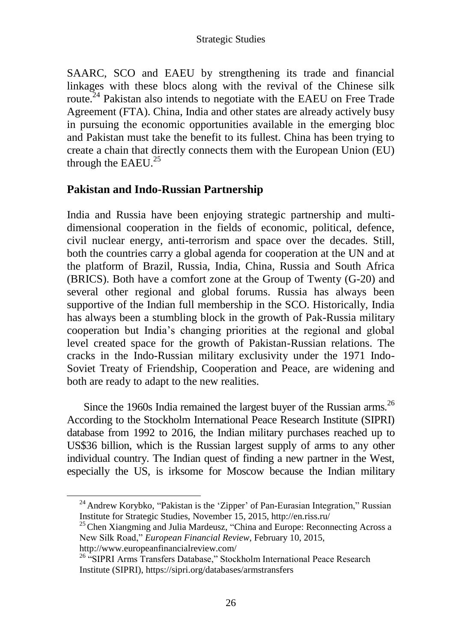SAARC, SCO and EAEU by strengthening its trade and financial linkages with these blocs along with the revival of the Chinese silk route.<sup>24</sup> Pakistan also intends to negotiate with the EAEU on Free Trade Agreement (FTA). China, India and other states are already actively busy in pursuing the economic opportunities available in the emerging bloc and Pakistan must take the benefit to its fullest. China has been trying to create a chain that directly connects them with the European Union (EU) through the EAEU. $^{25}$ 

### **Pakistan and Indo-Russian Partnership**

India and Russia have been enjoying strategic partnership and multidimensional cooperation in the fields of economic, political, defence, civil nuclear energy, anti-terrorism and space over the decades. Still, both the countries carry a global agenda for cooperation at the UN and at the platform of Brazil, Russia, India, China, Russia and South Africa (BRICS). Both have a comfort zone at the Group of Twenty (G-20) and several other regional and global forums. Russia has always been supportive of the Indian full membership in the SCO. Historically, India has always been a stumbling block in the growth of Pak-Russia military cooperation but India's changing priorities at the regional and global level created space for the growth of Pakistan-Russian relations. The cracks in the Indo-Russian military exclusivity under the 1971 Indo-Soviet Treaty of Friendship, Cooperation and Peace, are widening and both are ready to adapt to the new realities.

Since the 1960s India remained the largest buyer of the Russian arms.<sup>26</sup> According to the Stockholm International Peace Research Institute (SIPRI) database from 1992 to 2016, the Indian military purchases reached up to US\$36 billion, which is the Russian largest supply of arms to any other individual country. The Indian quest of finding a new partner in the West, especially the US, is irksome for Moscow because the Indian military

<sup>&</sup>lt;sup>24</sup> Andrew Korybko, "Pakistan is the 'Zipper' of Pan-Eurasian Integration," Russian Institute for Strategic Studies, November 15, 2015, http://en.riss.ru/

<sup>&</sup>lt;sup>25</sup> Chen Xiangming and Julia Mardeusz, "China and Europe: Reconnecting Across a New Silk Road," *European Financial Review*, February 10, 2015, http://www.europeanfinancialreview.com/

<sup>&</sup>lt;sup>26</sup> "SIPRI Arms Transfers Database," Stockholm International Peace Research Institute (SIPRI), https://sipri.org/databases/armstransfers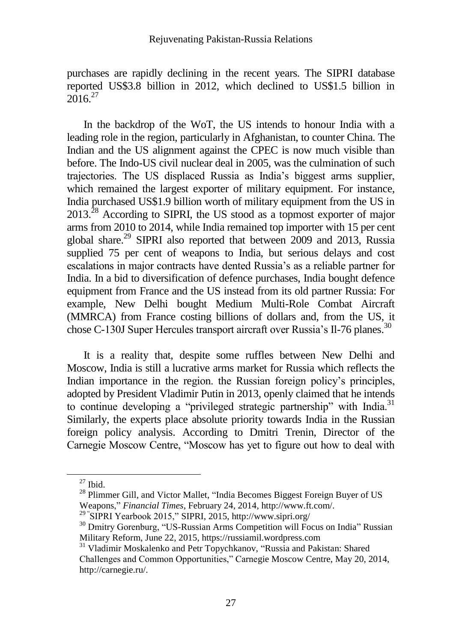purchases are rapidly declining in the recent years. The SIPRI database reported US\$3.8 billion in 2012, which declined to US\$1.5 billion in  $2016^{27}$ 

In the backdrop of the WoT, the US intends to honour India with a leading role in the region, particularly in Afghanistan, to counter China. The Indian and the US alignment against the CPEC is now much visible than before. The Indo-US civil nuclear deal in 2005, was the culmination of such trajectories. The US displaced Russia as India's biggest arms supplier, which remained the largest exporter of military equipment. For instance, India purchased US\$1.9 billion worth of military equipment from the US in 2013.<sup>28</sup> According to SIPRI, the US stood as a topmost exporter of major arms from 2010 to 2014, while India remained top importer with 15 per cent global share.<sup>29</sup> SIPRI also reported that between 2009 and 2013, Russia supplied 75 per cent of weapons to India, but serious delays and cost escalations in major contracts have dented Russia's as a reliable partner for India. In a bid to diversification of defence purchases, India bought defence equipment from France and the US instead from its old partner Russia: For example, New Delhi bought Medium Multi-Role Combat Aircraft (MMRCA) from France costing billions of dollars and, from the US, it chose C-130J Super Hercules transport aircraft over Russia's Il-76 planes.<sup>30</sup>

It is a reality that, despite some ruffles between New Delhi and Moscow, India is still a lucrative arms market for Russia which reflects the Indian importance in the region. the Russian foreign policy's principles, adopted by President Vladimir Putin in 2013, openly claimed that he intends to continue developing a "privileged strategic partnership" with India.<sup>31</sup> Similarly, the experts place absolute priority towards India in the Russian foreign policy analysis. According to Dmitri Trenin, Director of the Carnegie Moscow Centre, "Moscow has yet to figure out how to deal with

 $27$  Ibid.

<sup>&</sup>lt;sup>28</sup> Plimmer Gill, and Victor Mallet, "India Becomes Biggest Foreign Buyer of US Weapons," *Financial Times*, February 24, 2014, http://www.ft.com/.

<sup>&</sup>lt;sup>29</sup> "SIPRI Yearbook 2015," SIPRI, 2015, http://www.sipri.org/

<sup>&</sup>lt;sup>30</sup> Dmitry Gorenburg, "US-Russian Arms Competition will Focus on India" Russian Military Reform, June 22, 2015, https://russiamil.wordpress.com

<sup>&</sup>lt;sup>31</sup> Vladimir Moskalenko and Petr Topychkanov, "Russia and Pakistan: Shared Challenges and Common Opportunities," Carnegie Moscow Centre, May 20, 2014, http://carnegie.ru/.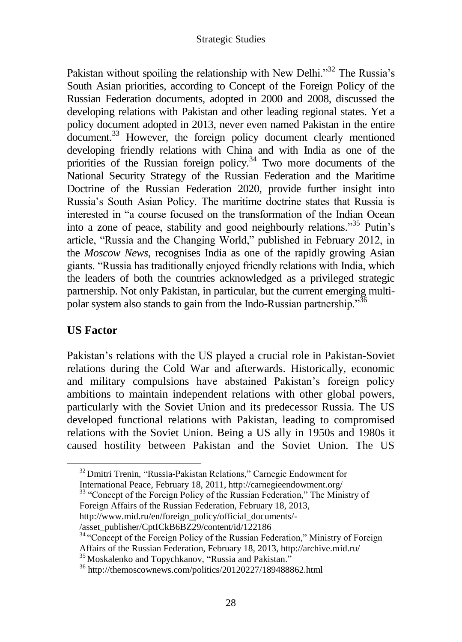Pakistan without spoiling the relationship with New Delhi. $3^{32}$  The Russia's South Asian priorities, according to Concept of the Foreign Policy of the Russian Federation documents, adopted in 2000 and 2008, discussed the developing relations with Pakistan and other leading regional states. Yet a policy document adopted in 2013, never even named Pakistan in the entire document.<sup>33</sup> However, the foreign policy document clearly mentioned developing friendly relations with China and with India as one of the priorities of the Russian foreign policy.<sup>34</sup> Two more documents of the National Security Strategy of the Russian Federation and the Maritime Doctrine of the Russian Federation 2020, provide further insight into Russia's South Asian Policy. The maritime doctrine states that Russia is interested in "a course focused on the transformation of the Indian Ocean into a zone of peace, stability and good neighbourly relations."<sup>35</sup> Putin's article, "Russia and the Changing World," published in February 2012, in the *Moscow News*, recognises India as one of the rapidly growing Asian giants. "Russia has traditionally enjoyed friendly relations with India, which the leaders of both the countries acknowledged as a privileged strategic partnership. Not only Pakistan, in particular, but the current emerging multipolar system also stands to gain from the Indo-Russian partnership."<sup>36</sup>

### **US Factor**

Pakistan's relations with the US played a crucial role in Pakistan-Soviet relations during the Cold War and afterwards. Historically, economic and military compulsions have abstained Pakistan's foreign policy ambitions to maintain independent relations with other global powers, particularly with the Soviet Union and its predecessor Russia. The US developed functional relations with Pakistan, leading to compromised relations with the Soviet Union. Being a US ally in 1950s and 1980s it caused hostility between Pakistan and the Soviet Union. The US

- [http://www.mid.ru/en/foreign\\_policy/official\\_documents/-](http://www.mid.ru/en/foreign_policy/official_documents/-/asset_publisher/CptICkB6BZ29/content/id/122186)
- [/asset\\_publisher/CptICkB6BZ29/content/id/122186](http://www.mid.ru/en/foreign_policy/official_documents/-/asset_publisher/CptICkB6BZ29/content/id/122186)

 $32$  Dmitri Trenin, "Russia-Pakistan Relations," Carnegie Endowment for International Peace, February 18, 2011, http://carnegieendowment.org/

<sup>&</sup>lt;sup>33</sup> "Concept of the Foreign Policy of the Russian Federation," The Ministry of Foreign Affairs of the Russian Federation, February 18, 2013,

<sup>&</sup>lt;sup>34</sup> "Concept of the Foreign Policy of the Russian Federation," Ministry of Foreign Affairs of the Russian Federation, February 18, 2013, http://archive.mid.ru/

<sup>35</sup> Moskalenko and Topychkanov, "Russia and Pakistan."

<sup>36</sup> http://themoscownews.com/politics/20120227/189488862.html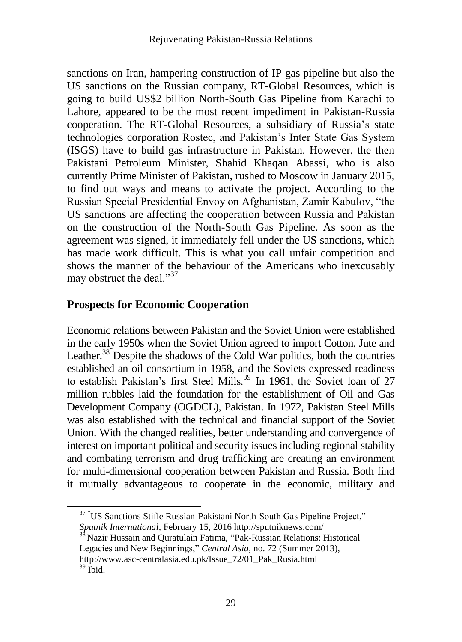sanctions on Iran, hampering construction of IP gas pipeline but also the US sanctions on the Russian company, RT-Global Resources, which is going to build US\$2 billion North-South Gas Pipeline from Karachi to Lahore, appeared to be the most recent impediment in Pakistan-Russia cooperation. The RT-Global Resources, a subsidiary of Russia's state technologies corporation Rostec, and Pakistan's Inter State Gas System (ISGS) have to build gas infrastructure in Pakistan. However, the then Pakistani Petroleum Minister, Shahid Khaqan Abassi, who is also currently Prime Minister of Pakistan, rushed to Moscow in January 2015, to find out ways and means to activate the project. According to the Russian Special Presidential Envoy on Afghanistan, Zamir Kabulov, "the US sanctions are affecting the cooperation between Russia and Pakistan on the construction of the North-South Gas Pipeline. As soon as the agreement was signed, it immediately fell under the US sanctions, which has made work difficult. This is what you call unfair competition and shows the manner of the behaviour of the Americans who inexcusably may obstruct the deal."<sup>37</sup>

### **Prospects for Economic Cooperation**

Economic relations between Pakistan and the Soviet Union were established in the early 1950s when the Soviet Union agreed to import Cotton, Jute and Leather. $38$  Despite the shadows of the Cold War politics, both the countries established an oil consortium in 1958, and the Soviets expressed readiness to establish Pakistan's first Steel Mills.<sup>39</sup> In 1961, the Soviet loan of 27 million rubbles laid the foundation for the establishment of Oil and Gas Development Company (OGDCL), Pakistan. In 1972, Pakistan Steel Mills was also established with the technical and financial support of the Soviet Union. With the changed realities, better understanding and convergence of interest on important political and security issues including regional stability and combating terrorism and drug trafficking are creating an environment for multi-dimensional cooperation between Pakistan and Russia. Both find it mutually advantageous to cooperate in the economic, military and

<sup>38</sup> Nazir Hussain and Quratulain Fatima, "Pak-Russian Relations: Historical Legacies and New Beginnings," *Central Asia,* no. 72 (Summer 2013), http://www.asc-centralasia.edu.pk/Issue\_72/01\_Pak\_Rusia.html  $39$  Ibid.

<sup>&</sup>lt;sup>37</sup> "US Sanctions Stifle Russian-Pakistani North-South Gas Pipeline Project," *Sputnik International*, February 15, 2016 http://sputniknews.com/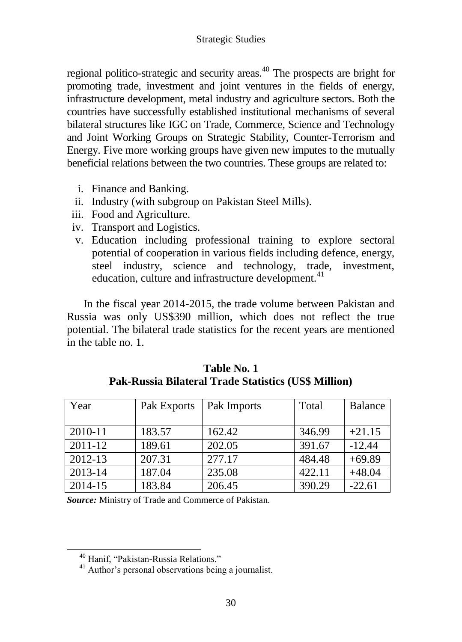regional politico-strategic and security areas.<sup>40</sup> The prospects are bright for promoting trade, investment and joint ventures in the fields of energy, infrastructure development, metal industry and agriculture sectors. Both the countries have successfully established institutional mechanisms of several bilateral structures like IGC on Trade, Commerce, Science and Technology and Joint Working Groups on Strategic Stability, Counter-Terrorism and Energy. Five more working groups have given new imputes to the mutually beneficial relations between the two countries. These groups are related to:

- i. Finance and Banking.
- ii. Industry (with subgroup on Pakistan Steel Mills).
- iii. Food and Agriculture.
- iv. Transport and Logistics.
- v. Education including professional training to explore sectoral potential of cooperation in various fields including defence, energy, steel industry, science and technology, trade, investment, education, culture and infrastructure development.<sup>41</sup>

In the fiscal year 2014-2015, the trade volume between Pakistan and Russia was only US\$390 million, which does not reflect the true potential. The bilateral trade statistics for the recent years are mentioned in the table no. 1.

| Year    | Pak Exports | Pak Imports | Total  | <b>Balance</b> |
|---------|-------------|-------------|--------|----------------|
|         |             |             |        |                |
| 2010-11 | 183.57      | 162.42      | 346.99 | $+21.15$       |
| 2011-12 | 189.61      | 202.05      | 391.67 | $-12.44$       |
| 2012-13 | 207.31      | 277.17      | 484.48 | $+69.89$       |
| 2013-14 | 187.04      | 235.08      | 422.11 | $+48.04$       |
| 2014-15 | 183.84      | 206.45      | 390.29 | $-22.61$       |

**Table No. 1 Pak-Russia Bilateral Trade Statistics (US\$ Million)**

*Source:* Ministry of Trade and Commerce of Pakistan.

 $\overline{a}$ 

<sup>40</sup> Hanif, "Pakistan-Russia Relations."

<sup>&</sup>lt;sup>41</sup> Author's personal observations being a journalist.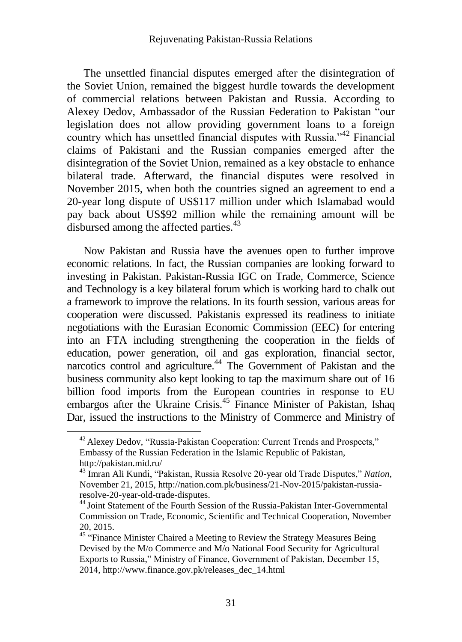The unsettled financial disputes emerged after the disintegration of the Soviet Union, remained the biggest hurdle towards the development of commercial relations between Pakistan and Russia. According to Alexey Dedov, Ambassador of the Russian Federation to Pakistan "our legislation does not allow providing government loans to a foreign country which has unsettled financial disputes with Russia."<sup>42</sup> Financial claims of Pakistani and the Russian companies emerged after the disintegration of the Soviet Union, remained as a key obstacle to enhance bilateral trade. Afterward, the financial disputes were resolved in November 2015, when both the countries signed an agreement to end a 20-year long dispute of US\$117 million under which Islamabad would pay back about US\$92 million while the remaining amount will be disbursed among the affected parties.<sup>43</sup>

Now Pakistan and Russia have the avenues open to further improve economic relations. In fact, the Russian companies are looking forward to investing in Pakistan. Pakistan-Russia IGC on Trade, Commerce, Science and Technology is a key bilateral forum which is working hard to chalk out a framework to improve the relations. In its fourth session, various areas for cooperation were discussed. Pakistanis expressed its readiness to initiate negotiations with the Eurasian Economic Commission (EEC) for entering into an FTA including strengthening the cooperation in the fields of education, power generation, oil and gas exploration, financial sector, narcotics control and agriculture.<sup>44</sup> The Government of Pakistan and the business community also kept looking to tap the maximum share out of 16 billion food imports from the European countries in response to EU embargos after the Ukraine Crisis.<sup>45</sup> Finance Minister of Pakistan, Ishaq Dar, issued the instructions to the Ministry of Commerce and Ministry of

 $\overline{a}$ 

<sup>&</sup>lt;sup>42</sup> Alexey Dedov, "Russia-Pakistan Cooperation: Current Trends and Prospects," Embassy of the Russian Federation in the Islamic Republic of Pakistan, http://pakistan.mid.ru/

<sup>43</sup> Imran Ali Kundi, "Pakistan, Russia Resolve 20-year old Trade Disputes," *Nation*, November 21, 2015, http://nation.com.pk/business/21-Nov-2015/pakistan-russiaresolve-20-year-old-trade-disputes.

<sup>&</sup>lt;sup>44</sup> Joint Statement of the Fourth Session of the Russia-Pakistan Inter-Governmental Commission on Trade, Economic, Scientific and Technical Cooperation, November 20, 2015.

<sup>&</sup>lt;sup>45</sup> "Finance Minister Chaired a Meeting to Review the Strategy Measures Being Devised by the M/o Commerce and M/o National Food Security for Agricultural Exports to Russia," Ministry of Finance, Government of Pakistan, December 15, 2014, http://www.finance.gov.pk/releases\_dec\_14.html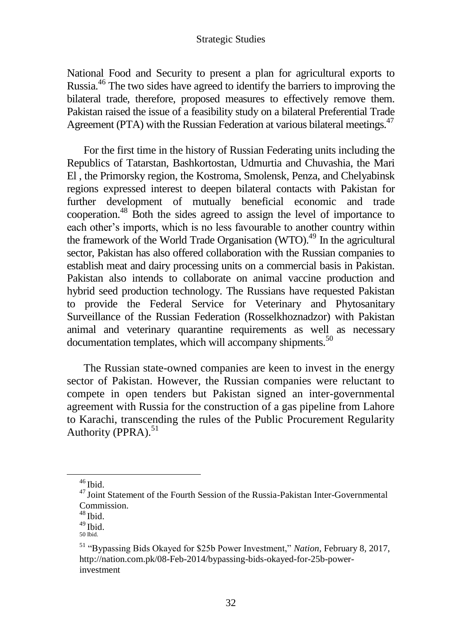National Food and Security to present a plan for agricultural exports to Russia.<sup>46</sup> The two sides have agreed to identify the barriers to improving the bilateral trade, therefore, proposed measures to effectively remove them. Pakistan raised the issue of a feasibility study on a bilateral Preferential Trade Agreement (PTA) with the Russian Federation at various bilateral meetings.<sup>47</sup>

For the first time in the history of Russian Federating units including the Republics of Tatarstan, Bashkortostan, Udmurtia and Chuvashia, the Mari El , the Primorsky region, the Kostroma, Smolensk, Penza, and Chelyabinsk regions expressed interest to deepen bilateral contacts with Pakistan for further development of mutually beneficial economic and trade cooperation.<sup>48</sup> Both the sides agreed to assign the level of importance to each other's imports, which is no less favourable to another country within the framework of the World Trade Organisation  $(WTO)$ <sup>49</sup> In the agricultural sector, Pakistan has also offered collaboration with the Russian companies to establish meat and dairy processing units on a commercial basis in Pakistan. Pakistan also intends to collaborate on animal vaccine production and hybrid seed production technology. The Russians have requested Pakistan to provide the Federal Service for Veterinary and Phytosanitary Surveillance of the Russian Federation (Rosselkhoznadzor) with Pakistan animal and veterinary quarantine requirements as well as necessary  $d$ ocumentation templates, which will accompany shipments.<sup>50</sup>

The Russian state-owned companies are keen to invest in the energy sector of Pakistan. However, the Russian companies were reluctant to compete in open tenders but Pakistan signed an inter-governmental agreement with Russia for the construction of a gas pipeline from Lahore to Karachi, transcending the rules of the Public Procurement Regularity Authority (PPRA). $51$ 

 $46$  Ibid.

<sup>&</sup>lt;sup>47</sup> Joint Statement of the Fourth Session of the Russia-Pakistan Inter-Governmental Commission.

 $48$  Ibid.

 $49$  Ibid.

<sup>50</sup> Ibid.

<sup>51</sup> "Bypassing Bids Okayed for \$25b Power Investment," *Nation,* February 8, 2017, http://nation.com.pk/08-Feb-2014/bypassing-bids-okayed-for-25b-powerinvestment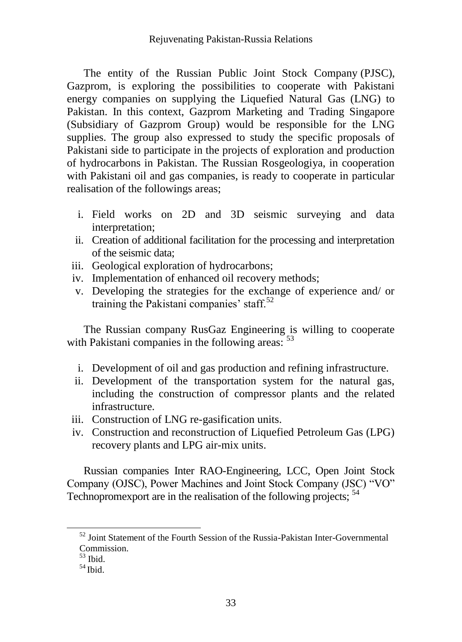The entity of the Russian Public Joint Stock Company (PJSC), Gazprom, is exploring the possibilities to cooperate with Pakistani energy companies on supplying the Liquefied Natural Gas (LNG) to Pakistan. In this context, Gazprom Marketing and Trading Singapore (Subsidiary of Gazprom Group) would be responsible for the LNG supplies. The group also expressed to study the specific proposals of Pakistani side to participate in the projects of exploration and production of hydrocarbons in Pakistan. The Russian Rosgeologiya, in cooperation with Pakistani oil and gas companies, is ready to cooperate in particular realisation of the followings areas;

- i. Field works on 2D and 3D seismic surveying and data interpretation;
- ii. Creation of additional facilitation for the processing and interpretation of the seismic data;
- iii. Geological exploration of hydrocarbons;
- iv. Implementation of enhanced oil recovery methods;
- v. Developing the strategies for the exchange of experience and/ or training the Pakistani companies' staff. $52$

The Russian company RusGaz Engineering is willing to cooperate with Pakistani companies in the following areas:  $53$ 

- i. Development of oil and gas production and refining infrastructure.
- ii. Development of the transportation system for the natural gas, including the construction of compressor plants and the related infrastructure.
- iii. Construction of LNG re-gasification units.
- iv. Construction and reconstruction of Liquefied Petroleum Gas (LPG) recovery plants and LPG air-mix units.

Russian companies Inter RAO-Engineering, LCC, Open Joint Stock Company (OJSC), Power Machines and Joint Stock Company (JSC) "VO" Technopromexport are in the realisation of the following projects; <sup>54</sup>

 $52$  Joint Statement of the Fourth Session of the Russia-Pakistan Inter-Governmental Commission.

 $53$  Ibid.

 $54$  Ibid.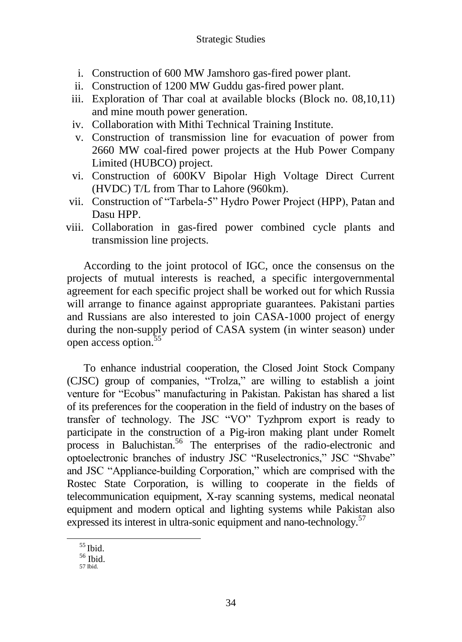- i. Construction of 600 MW Jamshoro gas-fired power plant.
- ii. Construction of 1200 MW Guddu gas-fired power plant.
- iii. Exploration of Thar coal at available blocks (Block no. 08,10,11) and mine mouth power generation.
- iv. Collaboration with Mithi Technical Training Institute.
- v. Construction of transmission line for evacuation of power from 2660 MW coal-fired power projects at the Hub Power Company Limited (HUBCO) project.
- vi. Construction of 600KV Bipolar High Voltage Direct Current (HVDC) T/L from Thar to Lahore (960km).
- vii. Construction of "Tarbela-5" Hydro Power Project (HPP), Patan and Dasu HPP.
- viii. Collaboration in gas-fired power combined cycle plants and transmission line projects.

According to the joint protocol of IGC, once the consensus on the projects of mutual interests is reached, a specific intergovernmental agreement for each specific project shall be worked out for which Russia will arrange to finance against appropriate guarantees. Pakistani parties and Russians are also interested to join CASA-1000 project of energy during the non-supply period of CASA system (in winter season) under open access option.<sup>55</sup>

To enhance industrial cooperation, the Closed Joint Stock Company (CJSC) group of companies, "Trolza," are willing to establish a joint venture for "Ecobus" manufacturing in Pakistan. Pakistan has shared a list of its preferences for the cooperation in the field of industry on the bases of transfer of technology. The JSC "VO" Tyzhprom export is ready to participate in the construction of a Pig-iron making plant under Romelt process in Baluchistan.<sup>56</sup> The enterprises of the radio-electronic and optoelectronic branches of industry JSC "Ruselectronics," JSC "Shvabe" and JSC "Appliance-building Corporation," which are comprised with the Rostec State Corporation, is willing to cooperate in the fields of telecommunication equipment, X-ray scanning systems, medical neonatal equipment and modern optical and lighting systems while Pakistan also expressed its interest in ultra-sonic equipment and nano-technology.<sup>57</sup>

<sup>55</sup> Ibid.

<sup>56</sup> Ibid.

<sup>57</sup> Ibid.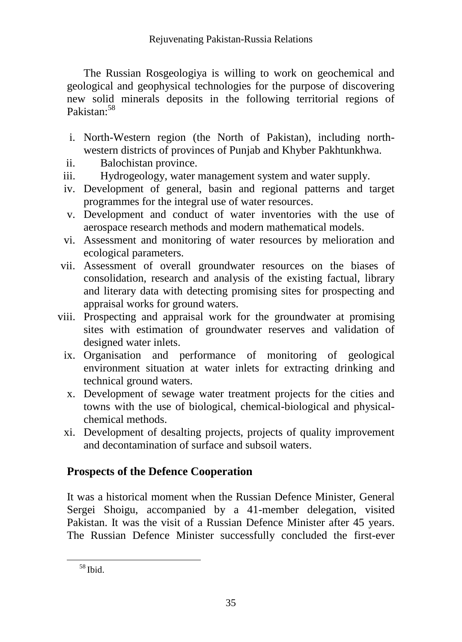The Russian Rosgeologiya is willing to work on geochemical and geological and geophysical technologies for the purpose of discovering new solid minerals deposits in the following territorial regions of Pakistan:<sup>58</sup>

- i. North-Western region (the North of Pakistan), including northwestern districts of provinces of Punjab and Khyber Pakhtunkhwa.
- ii. Balochistan province.
- iii. Hydrogeology, water management system and water supply.
- iv. Development of general, basin and regional patterns and target programmes for the integral use of water resources.
- v. Development and conduct of water inventories with the use of aerospace research methods and modern mathematical models.
- vi. Assessment and monitoring of water resources by melioration and ecological parameters.
- vii. Assessment of overall groundwater resources on the biases of consolidation, research and analysis of the existing factual, library and literary data with detecting promising sites for prospecting and appraisal works for ground waters.
- viii. Prospecting and appraisal work for the groundwater at promising sites with estimation of groundwater reserves and validation of designed water inlets.
	- ix. Organisation and performance of monitoring of geological environment situation at water inlets for extracting drinking and technical ground waters.
	- x. Development of sewage water treatment projects for the cities and towns with the use of biological, chemical-biological and physicalchemical methods.
	- xi. Development of desalting projects, projects of quality improvement and decontamination of surface and subsoil waters.

# **Prospects of the Defence Cooperation**

It was a historical moment when the Russian Defence Minister, General Sergei Shoigu, accompanied by a 41-member delegation, visited Pakistan. It was the visit of a Russian Defence Minister after 45 years. The Russian Defence Minister successfully concluded the first-ever

<sup>58</sup> Ibid.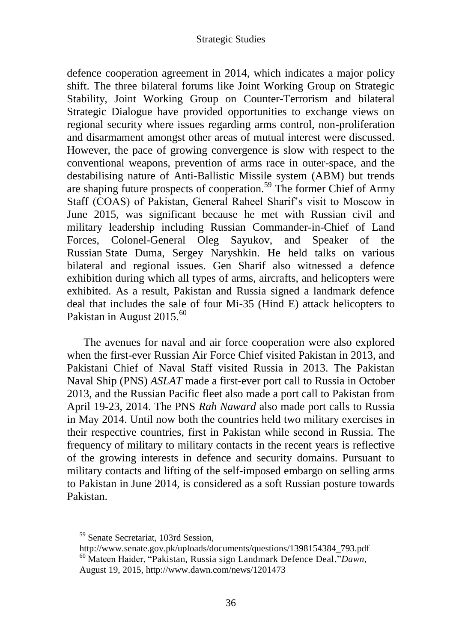defence cooperation agreement in 2014, which indicates a major policy shift. The three bilateral forums like Joint Working Group on Strategic Stability, Joint Working Group on Counter-Terrorism and bilateral Strategic Dialogue have provided opportunities to exchange views on regional security where issues regarding arms control, non-proliferation and disarmament amongst other areas of mutual interest were discussed. However, the pace of growing convergence is slow with respect to the conventional weapons, prevention of arms race in outer-space, and the destabilising nature of Anti-Ballistic Missile system (ABM) but trends are shaping future prospects of cooperation.<sup>59</sup> The former Chief of Army Staff (COAS) of Pakistan, General Raheel Sharif's visit to Moscow in June 2015, was significant because he met with Russian civil and military leadership including Russian Commander-in-Chief of Land Forces, Colonel-General Oleg Sayukov, and Speaker of the Russian State Duma, Sergey Naryshkin. He held talks on various bilateral and regional issues. Gen Sharif also witnessed a defence exhibition during which all types of arms, aircrafts, and helicopters were exhibited. As a result, Pakistan and Russia signed a landmark defence deal that includes the sale of four Mi-35 (Hind E) attack helicopters to Pakistan in August 2015.<sup>60</sup>

The avenues for naval and air force cooperation were also explored when the first-ever Russian Air Force Chief visited Pakistan in 2013, and Pakistani Chief of Naval Staff visited Russia in 2013. The Pakistan Naval Ship (PNS) *ASLAT* made a first-ever port call to Russia in October 2013, and the Russian Pacific fleet also made a port call to Pakistan from April 19-23, 2014. The PNS *Rah Naward* also made port calls to Russia in May 2014. Until now both the countries held two military exercises in their respective countries, first in Pakistan while second in Russia. The frequency of military to military contacts in the recent years is reflective of the growing interests in defence and security domains. Pursuant to military contacts and lifting of the self-imposed embargo on selling arms to Pakistan in June 2014, is considered as a soft Russian posture towards Pakistan.

<sup>&</sup>lt;sup>59</sup> Senate Secretariat, 103rd Session,

http://www.senate.gov.pk/uploads/documents/questions/1398154384\_793.pdf <sup>60</sup> Mateen Haider, ["Pakistan, Russia sign Landmark Defence Deal,](file:///E:/JOURNAL/4th%20Issue%202017,%20Vol%2037/Pakistan,%20Russia%20sign%20Landmark%20Defence%20deal)"*Dawn,* August 19, 2015, http://www.dawn.com/news/1201473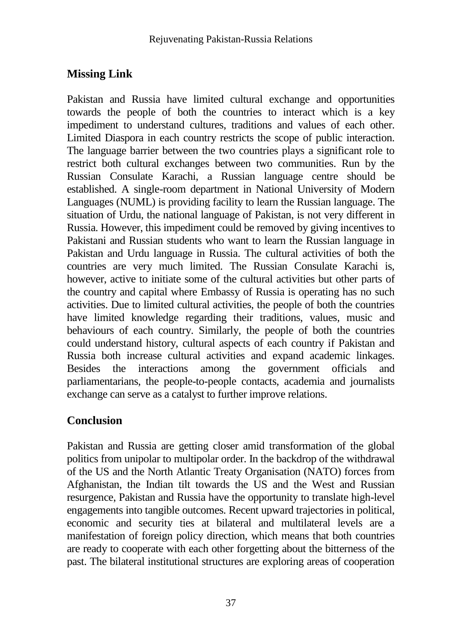# **Missing Link**

Pakistan and Russia have limited cultural exchange and opportunities towards the people of both the countries to interact which is a key impediment to understand cultures, traditions and values of each other. Limited Diaspora in each country restricts the scope of public interaction. The language barrier between the two countries plays a significant role to restrict both cultural exchanges between two communities. Run by the Russian Consulate Karachi, a Russian language centre should be established. A single-room department in National University of Modern Languages (NUML) is providing facility to learn the Russian language. The situation of Urdu, the national language of Pakistan, is not very different in Russia. However, this impediment could be removed by giving incentives to Pakistani and Russian students who want to learn the Russian language in Pakistan and Urdu language in Russia. The cultural activities of both the countries are very much limited. The Russian Consulate Karachi is, however, active to initiate some of the cultural activities but other parts of the country and capital where Embassy of Russia is operating has no such activities. Due to limited cultural activities, the people of both the countries have limited knowledge regarding their traditions, values, music and behaviours of each country. Similarly, the people of both the countries could understand history, cultural aspects of each country if Pakistan and Russia both increase cultural activities and expand academic linkages. Besides the interactions among the government officials and parliamentarians, the people-to-people contacts, academia and journalists exchange can serve as a catalyst to further improve relations.

# **Conclusion**

Pakistan and Russia are getting closer amid transformation of the global politics from unipolar to multipolar order. In the backdrop of the withdrawal of the US and the North Atlantic Treaty Organisation (NATO) forces from Afghanistan, the Indian tilt towards the US and the West and Russian resurgence, Pakistan and Russia have the opportunity to translate high-level engagements into tangible outcomes. Recent upward trajectories in political, economic and security ties at bilateral and multilateral levels are a manifestation of foreign policy direction, which means that both countries are ready to cooperate with each other forgetting about the bitterness of the past. The bilateral institutional structures are exploring areas of cooperation